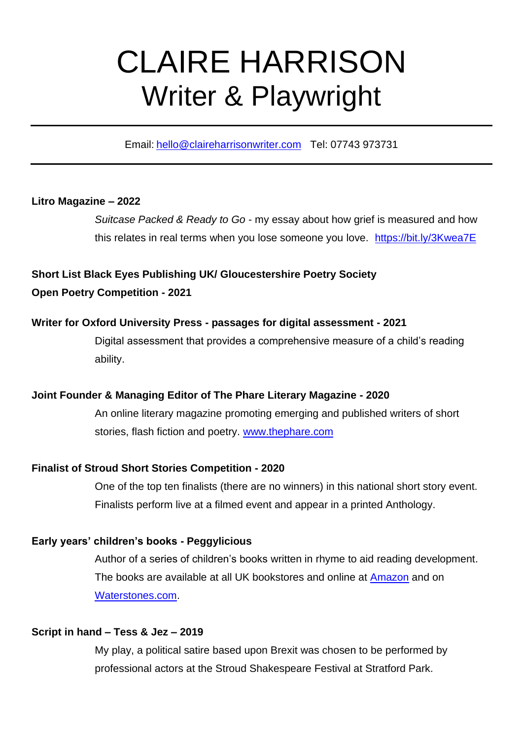# CLAIRE HARRISON Writer & Playwright

Email: [hello@claireharrisonwriter.com](mailto:hello@claireharrisonwriter.com) Tel: 07743 973731

## **Litro Magazine – 2022**

*Suitcase Packed & Ready to Go* - my essay about how grief is measured and how this relates in real terms when you lose someone you love. <https://bit.ly/3Kwea7E>

**Short List Black Eyes Publishing UK/ Gloucestershire Poetry Society Open Poetry Competition - 2021**

## **Writer for Oxford University Press - passages for digital assessment - 2021**

Digital assessment that provides a comprehensive measure of a child's reading ability.

# **Joint Founder & Managing Editor of The Phare Literary Magazine - 2020**

An online literary magazine promoting emerging and published writers of short stories, flash fiction and poetry. [www.thephare.com](http://www.thephare.com/)

## **Finalist of Stroud Short Stories Competition - 2020**

One of the top ten finalists (there are no winners) in this national short story event. Finalists perform live at a filmed event and appear in a printed Anthology.

## **Early years' children's books - Peggylicious**

Author of a series of children's books written in rhyme to aid reading development. The books are available at all UK bookstores and online at **Amazon** and on [Waterstones.com.](https://www.waterstones.com/books/search/term/peggylicious)

## **Script in hand – Tess & Jez – 2019**

My play, a political satire based upon Brexit was chosen to be performed by professional actors at the Stroud Shakespeare Festival at Stratford Park.